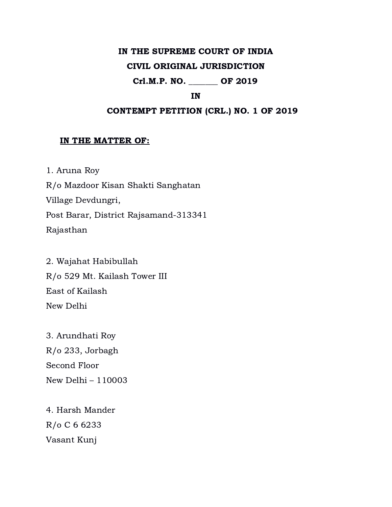### IN THE SUPREME COURT OF INDIA

#### CIVIL ORIGINAL JURISDICTION

# Crl.M.P. NO. \_\_\_\_\_\_\_ OF 2019

#### IN

## CONTEMPT PETITION (CRL.) NO. 1 OF 2019

#### IN THE MATTER OF:

1. Aruna Roy R/o Mazdoor Kisan Shakti Sanghatan Village Devdungri, Post Barar, District Rajsamand-313341 Rajasthan

2. Wajahat Habibullah R/o 529 Mt. Kailash Tower III East of Kailash New Delhi

3. Arundhati Roy R/o 233, Jorbagh Second Floor New Delhi – 110003

4. Harsh Mander R/o C 6 6233 Vasant Kunj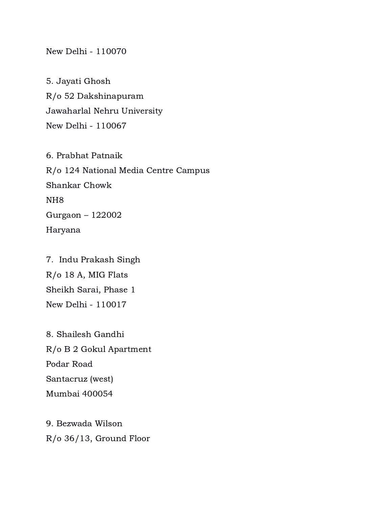New Delhi - 110070

5. Jayati Ghosh R/o 52 Dakshinapuram Jawaharlal Nehru University New Delhi - 110067

6. Prabhat Patnaik R/o 124 National Media Centre Campus Shankar Chowk NH8 Gurgaon – 122002 Haryana

7. Indu Prakash Singh R/o 18 A, MIG Flats Sheikh Sarai, Phase 1 New Delhi - 110017

8. Shailesh Gandhi R/o B 2 Gokul Apartment Podar Road Santacruz (west) Mumbai 400054

9. Bezwada Wilson R/o 36/13, Ground Floor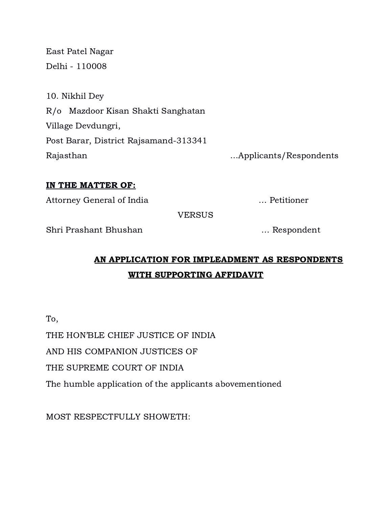East Patel Nagar Delhi - 110008

| 10. Nikhil Dey                        |                        |
|---------------------------------------|------------------------|
| R/o Mazdoor Kisan Shakti Sanghatan    |                        |
| Village Devdungri,                    |                        |
| Post Barar, District Rajsamand-313341 |                        |
| Rajasthan                             | Applicants/Respondents |

## IN THE MATTER OF:

Attorney General of India … Petitioner

**VERSUS** 

Shri Prashant Bhushan … Respondent

# AN APPLICATION FOR IMPLEADMENT AS RESPONDENTS WITH SUPPORTING AFFIDAVIT

To,

THE HON'BLE CHIEF JUSTICE OF INDIA

AND HIS COMPANION JUSTICES OF

THE SUPREME COURT OF INDIA

The humble application of the applicants abovementioned

MOST RESPECTFULLY SHOWETH: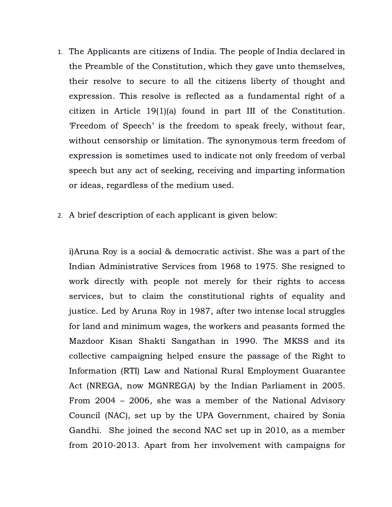- 1. The Applicants are citizens of India. The people of India declared in the Preamble of the Constitution, which they gave unto themselves, their resolve to secure to all the citizens liberty of thought and expression. This resolve is reflected as a fundamental right of a citizen in Article 19(1)(a) found in part III of the Constitution. 'Freedom of Speech' is the freedom to speak freely, without fear, without censorship or limitation. The synonymous term freedom of expression is sometimes used to indicate not only freedom of verbal speech but any act of seeking, receiving and imparting information or ideas, regardless of the medium used.
- 2. A brief description of each applicant is given below:

i)Aruna Roy is a social & democratic activist. She was a part of the Indian Administrative Services from 1968 to 1975. She resigned to work directly with people not merely for their rights to access services, but to claim the constitutional rights of equality and justice. Led by Aruna Roy in 1987, after two intense local struggles for land and minimum wages, the workers and peasants formed the Mazdoor Kisan Shakti Sangathan in 1990. The MKSS and its collective campaigning helped ensure the passage of the Right to Information (RTI) Law and National Rural Employment Guarantee Act (NREGA, now MGNREGA) by the Indian Parliament in 2005. From 2004 – 2006, she was a member of the National Advisory Council (NAC), set up by the UPA Government, chaired by Sonia Gandhi. She joined the second NAC set up in 2010, as a member from 2010-2013. Apart from her involvement with campaigns for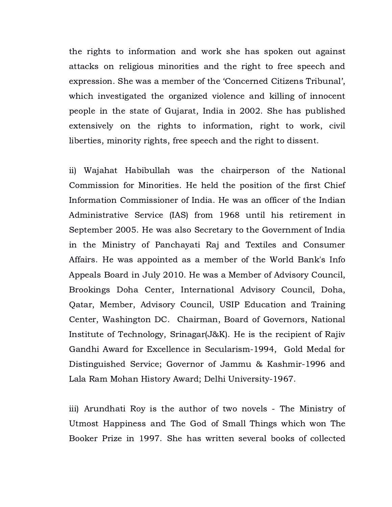the rights to information and work she has spoken out against attacks on religious minorities and the right to free speech and expression. She was a member of the 'Concerned Citizens Tribunal', which investigated the organized violence and killing of innocent people in the state of Gujarat, India in 2002. She has published extensively on the rights to information, right to work, civil liberties, minority rights, free speech and the right to dissent.

ii) Wajahat Habibullah was the chairperson of the National Commission for Minorities. He held the position of the first Chief Information Commissioner of India. He was an officer of the Indian Administrative Service (IAS) from 1968 until his retirement in September 2005. He was also Secretary to the Government of India in the Ministry of Panchayati Raj and Textiles and Consumer Affairs. He was appointed as a member of the World Bank's Info Appeals Board in July 2010. He was a Member of Advisory Council, Brookings Doha Center, International Advisory Council, Doha, Qatar, Member, Advisory Council, USIP Education and Training Center, Washington DC. Chairman, Board of Governors, National Institute of Technology, Srinagar(J&K). He is the recipient of Rajiv Gandhi Award for Excellence in Secularism-1994, Gold Medal for Distinguished Service; Governor of Jammu & Kashmir-1996 and Lala Ram Mohan History Award; Delhi University-1967.

iii) Arundhati Roy is the author of two novels - The Ministry of Utmost Happiness and The God of Small Things which won The Booker Prize in 1997. She has written several books of collected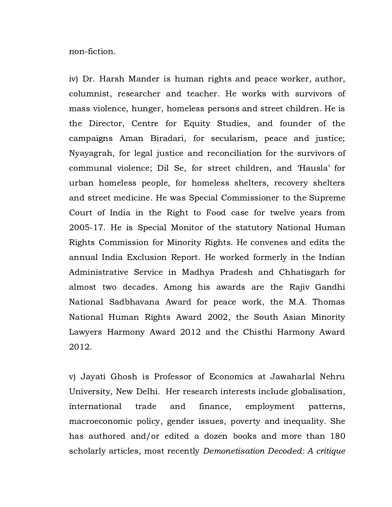non-fiction.

iv) Dr. Harsh Mander is human rights and peace worker, author, columnist, researcher and teacher. He works with survivors of mass violence, hunger, homeless persons and street children. He is the Director, Centre for Equity Studies, and founder of the campaigns Aman Biradari, for secularism, peace and justice; Nyayagrah, for legal justice and reconciliation for the survivors of communal violence; Dil Se, for street children, and 'Hausla' for urban homeless people, for homeless shelters, recovery shelters and street medicine. He was Special Commissioner to the Supreme Court of India in the Right to Food case for twelve years from 2005-17. He is Special Monitor of the statutory National Human Rights Commission for Minority Rights. He convenes and edits the annual India Exclusion Report. He worked formerly in the Indian Administrative Service in Madhya Pradesh and Chhatisgarh for almost two decades. Among his awards are the Rajiv Gandhi National Sadbhavana Award for peace work, the M.A. Thomas National Human Rights Award 2002, the South Asian Minority Lawyers Harmony Award 2012 and the Chisthi Harmony Award 2012.

v) Jayati Ghosh is Professor of Economics at Jawaharlal Nehru University, New Delhi. Her research interests include globalisation, international trade and finance, employment patterns, macroeconomic policy, gender issues, poverty and inequality. She has authored and/or edited a dozen books and more than 180 scholarly articles, most recently Demonetisation Decoded: A critique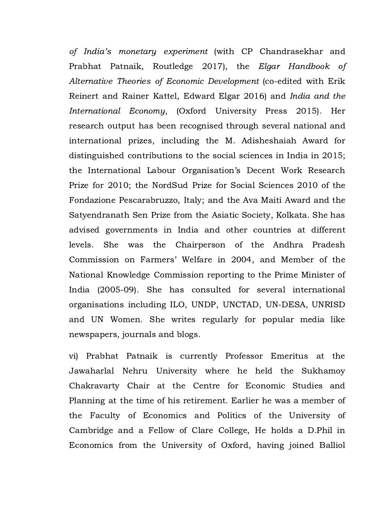of India's monetary experiment (with CP Chandrasekhar and Prabhat Patnaik, Routledge 2017), the Elgar Handbook of Alternative Theories of Economic Development (co-edited with Erik Reinert and Rainer Kattel, Edward Elgar 2016) and India and the International Economy, (Oxford University Press 2015). Her research output has been recognised through several national and international prizes, including the M. Adisheshaiah Award for distinguished contributions to the social sciences in India in 2015; the International Labour Organisation's Decent Work Research Prize for 2010; the NordSud Prize for Social Sciences 2010 of the Fondazione Pescarabruzzo, Italy; and the Ava Maiti Award and the Satyendranath Sen Prize from the Asiatic Society, Kolkata. She has advised governments in India and other countries at different levels. She was the Chairperson of the Andhra Pradesh Commission on Farmers' Welfare in 2004, and Member of the National Knowledge Commission reporting to the Prime Minister of India (2005-09). She has consulted for several international organisations including ILO, UNDP, UNCTAD, UN-DESA, UNRISD and UN Women. She writes regularly for popular media like newspapers, journals and blogs.

vi) Prabhat Patnaik is currently Professor Emeritus at the Jawaharlal Nehru University where he held the Sukhamoy Chakravarty Chair at the Centre for Economic Studies and Planning at the time of his retirement. Earlier he was a member of the Faculty of Economics and Politics of the University of Cambridge and a Fellow of Clare College, He holds a D.Phil in Economics from the University of Oxford, having joined Balliol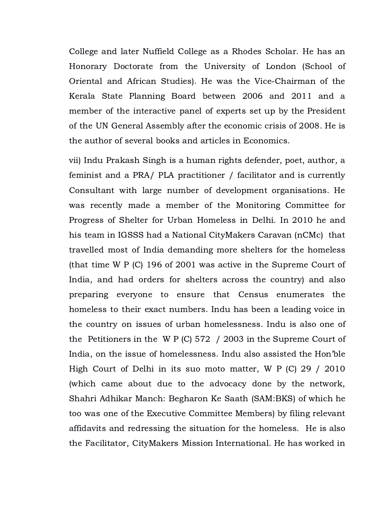College and later Nuffield College as a Rhodes Scholar. He has an Honorary Doctorate from the University of London (School of Oriental and African Studies). He was the Vice-Chairman of the Kerala State Planning Board between 2006 and 2011 and a member of the interactive panel of experts set up by the President of the UN General Assembly after the economic crisis of 2008. He is the author of several books and articles in Economics.

vii) Indu Prakash Singh is a human rights defender, poet, author, a feminist and a PRA/ PLA practitioner / facilitator and is currently Consultant with large number of development organisations. He was recently made a member of the Monitoring Committee for Progress of Shelter for Urban Homeless in Delhi. In 2010 he and his team in IGSSS had a National CityMakers Caravan (nCMc) that travelled most of India demanding more shelters for the homeless (that time W P (C) 196 of 2001 was active in the Supreme Court of India, and had orders for shelters across the country) and also preparing everyone to ensure that Census enumerates the homeless to their exact numbers. Indu has been a leading voice in the country on issues of urban homelessness. Indu is also one of the Petitioners in the W P (C) 572 / 2003 in the Supreme Court of India, on the issue of homelessness. Indu also assisted the Hon'ble High Court of Delhi in its suo moto matter, W P (C) 29 / 2010 (which came about due to the advocacy done by the network, Shahri Adhikar Manch: Begharon Ke Saath (SAM:BKS) of which he too was one of the Executive Committee Members) by filing relevant affidavits and redressing the situation for the homeless. He is also the Facilitator, CityMakers Mission International. He has worked in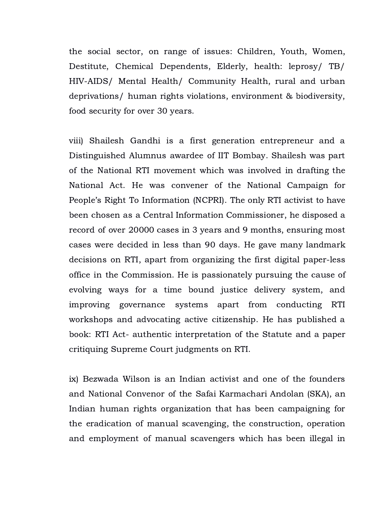the social sector, on range of issues: Children, Youth, Women, Destitute, Chemical Dependents, Elderly, health: leprosy/ TB/ HIV-AIDS/ Mental Health/ Community Health, rural and urban deprivations/ human rights violations, environment & biodiversity, food security for over 30 years.

viii) Shailesh Gandhi is a first generation entrepreneur and a Distinguished Alumnus awardee of IIT Bombay. Shailesh was part of the National RTI movement which was involved in drafting the National Act. He was convener of the National Campaign for People's Right To Information (NCPRI). The only RTI activist to have been chosen as a Central Information Commissioner, he disposed a record of over 20000 cases in 3 years and 9 months, ensuring most cases were decided in less than 90 days. He gave many landmark decisions on RTI, apart from organizing the first digital paper-less office in the Commission. He is passionately pursuing the cause of evolving ways for a time bound justice delivery system, and improving governance systems apart from conducting RTI workshops and advocating active citizenship. He has published a book: RTI Act- authentic interpretation of the Statute and a paper critiquing Supreme Court judgments on RTI.

ix) Bezwada Wilson is an Indian activist and one of the founders and National Convenor of the Safai Karmachari Andolan (SKA), an Indian human rights organization that has been campaigning for the eradication of manual scavenging, the construction, operation and employment of manual scavengers which has been illegal in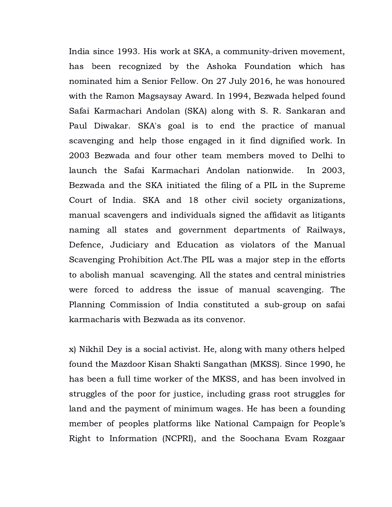India since 1993. His work at SKA, a community-driven movement, has been recognized by the Ashoka Foundation which has nominated him a Senior Fellow. On 27 July 2016, he was honoured with the Ramon Magsaysay Award. In 1994, Bezwada helped found Safai Karmachari Andolan (SKA) along with S. R. Sankaran and Paul Diwakar. SKA's goal is to end the practice of manual scavenging and help those engaged in it find dignified work. In 2003 Bezwada and four other team members moved to Delhi to launch the Safai Karmachari Andolan nationwide. In 2003, Bezwada and the SKA initiated the filing of a PIL in the Supreme Court of India. SKA and 18 other civil society organizations, manual scavengers and individuals signed the affidavit as litigants naming all states and government departments of Railways, Defence, Judiciary and Education as violators of the Manual Scavenging Prohibition Act.The PIL was a major step in the efforts to abolish manual scavenging. All the states and central ministries were forced to address the issue of manual scavenging. The Planning Commission of India constituted a sub-group on safai karmacharis with Bezwada as its convenor.

x) Nikhil Dey is a social activist. He, along with many others helped found the Mazdoor Kisan Shakti Sangathan (MKSS). Since 1990, he has been a full time worker of the MKSS, and has been involved in struggles of the poor for justice, including grass root struggles for land and the payment of minimum wages. He has been a founding member of peoples platforms like National Campaign for People's Right to Information (NCPRI), and the Soochana Evam Rozgaar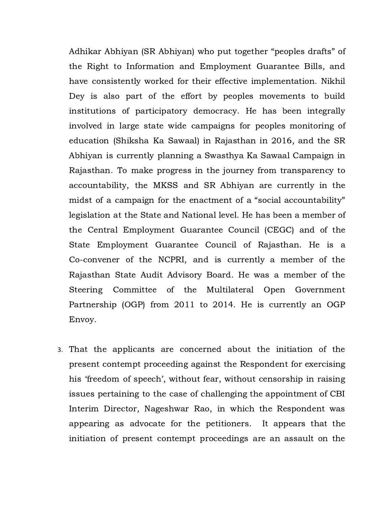Adhikar Abhiyan (SR Abhiyan) who put together "peoples drafts" of the Right to Information and Employment Guarantee Bills, and have consistently worked for their effective implementation. Nikhil Dey is also part of the effort by peoples movements to build institutions of participatory democracy. He has been integrally involved in large state wide campaigns for peoples monitoring of education (Shiksha Ka Sawaal) in Rajasthan in 2016, and the SR Abhiyan is currently planning a Swasthya Ka Sawaal Campaign in Rajasthan. To make progress in the journey from transparency to accountability, the MKSS and SR Abhiyan are currently in the midst of a campaign for the enactment of a "social accountability" legislation at the State and National level. He has been a member of the Central Employment Guarantee Council (CEGC) and of the State Employment Guarantee Council of Rajasthan. He is a Co-convener of the NCPRI, and is currently a member of the Rajasthan State Audit Advisory Board. He was a member of the Steering Committee of the Multilateral Open Government Partnership (OGP) from 2011 to 2014. He is currently an OGP Envoy.

3. That the applicants are concerned about the initiation of the present contempt proceeding against the Respondent for exercising his 'freedom of speech', without fear, without censorship in raising issues pertaining to the case of challenging the appointment of CBI Interim Director, Nageshwar Rao, in which the Respondent was appearing as advocate for the petitioners. It appears that the initiation of present contempt proceedings are an assault on the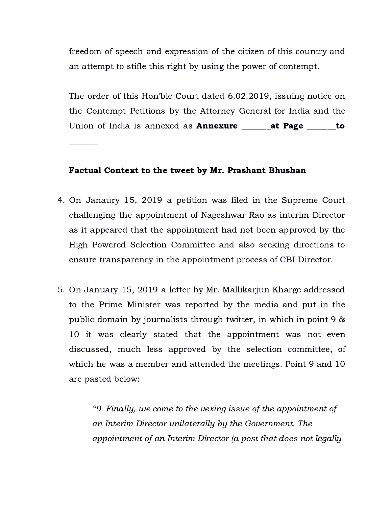freedom of speech and expression of the citizen of this country and an attempt to stifle this right by using the power of contempt.

The order of this Hon'ble Court dated 6.02.2019, issuing notice on the Contempt Petitions by the Attorney General for India and the Union of India is annexed as **Annexure \_\_\_\_\_\_\_at Page \_\_\_\_\_\_\_to** 

#### Factual Context to the tweet by Mr. Prashant Bhushan

- 4. On Janaury 15, 2019 a petition was filed in the Supreme Court challenging the appointment of Nageshwar Rao as interim Director as it appeared that the appointment had not been approved by the High Powered Selection Committee and also seeking directions to ensure transparency in the appointment process of CBI Director.
- 5. On January 15, 2019 a letter by Mr. Mallikarjun Kharge addressed to the Prime Minister was reported by the media and put in the public domain by journalists through twitter, in which in point 9 & 10 it was clearly stated that the appointment was not even discussed, much less approved by the selection committee, of which he was a member and attended the meetings. Point 9 and 10 are pasted below:

"9. Finally, we come to the vexing issue of the appointment of an Interim Director unilaterally by the Government. The appointment of an Interim Director (a post that does not legally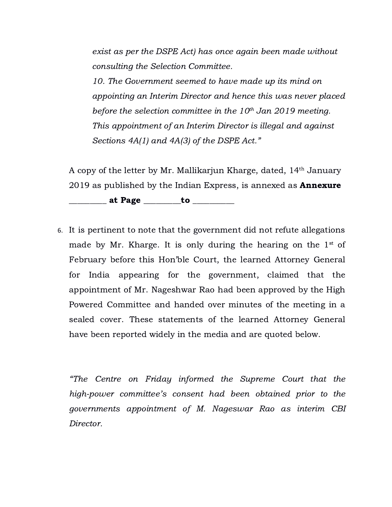exist as per the DSPE Act) has once again been made without consulting the Selection Committee.

10. The Government seemed to have made up its mind on appointing an Interim Director and hence this was never placed before the selection committee in the  $10^{th}$  Jan 2019 meeting. This appointment of an Interim Director is illegal and against Sections 4A(1) and 4A(3) of the DSPE Act."

A copy of the letter by Mr. Mallikariun Kharge, dated, 14<sup>th</sup> January 2019 as published by the Indian Express, is annexed as **Annexure** 

 $\blacksquare$  at Page  $\blacksquare$  to  $\blacksquare$ 

6. It is pertinent to note that the government did not refute allegations made by Mr. Kharge. It is only during the hearing on the  $1^{st}$  of February before this Hon'ble Court, the learned Attorney General for India appearing for the government, claimed that the appointment of Mr. Nageshwar Rao had been approved by the High Powered Committee and handed over minutes of the meeting in a sealed cover. These statements of the learned Attorney General have been reported widely in the media and are quoted below.

"The Centre on Friday informed the Supreme Court that the high-power committee's consent had been obtained prior to the governments appointment of M. Nageswar Rao as interim CBI Director.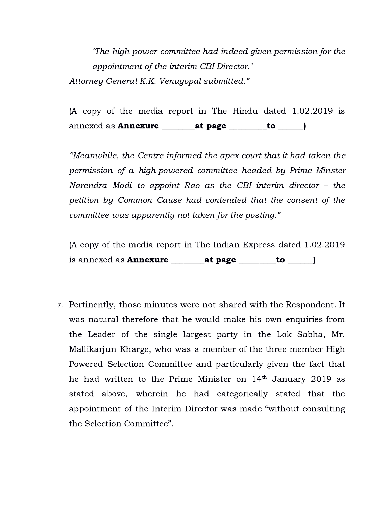'The high power committee had indeed given permission for the appointment of the interim CBI Director.' Attorney General K.K. Venugopal submitted."

(A copy of the media report in The Hindu dated 1.02.2019 is annexed as **Annexure** \_\_\_\_\_\_\_\_at page \_\_\_\_\_\_\_\_to \_\_\_\_\_)

"Meanwhile, the Centre informed the apex court that it had taken the permission of a high-powered committee headed by Prime Minster Narendra Modi to appoint Rao as the CBI interim director – the petition by Common Cause had contended that the consent of the committee was apparently not taken for the posting."

(A copy of the media report in The Indian Express dated 1.02.2019 is annexed as **Annexure** \_\_\_\_\_\_\_at page \_\_\_\_\_\_\_to \_\_\_\_\_)

7. Pertinently, those minutes were not shared with the Respondent. It was natural therefore that he would make his own enquiries from the Leader of the single largest party in the Lok Sabha, Mr. Mallikarjun Kharge, who was a member of the three member High Powered Selection Committee and particularly given the fact that he had written to the Prime Minister on  $14^{\text{th}}$  January 2019 as stated above, wherein he had categorically stated that the appointment of the Interim Director was made "without consulting the Selection Committee".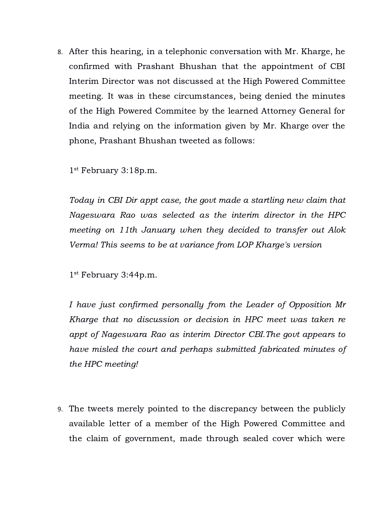8. After this hearing, in a telephonic conversation with Mr. Kharge, he confirmed with Prashant Bhushan that the appointment of CBI Interim Director was not discussed at the High Powered Committee meeting. It was in these circumstances, being denied the minutes of the High Powered Commitee by the learned Attorney General for India and relying on the information given by Mr. Kharge over the phone, Prashant Bhushan tweeted as follows:

1 st February 3:18p.m.

Today in CBI Dir appt case, the govt made a startling new claim that Nageswara Rao was selected as the interim director in the HPC meeting on 11th January when they decided to transfer out Alok Verma! This seems to be at variance from LOP Kharge's version

1 st February 3:44p.m.

I have just confirmed personally from the Leader of Opposition Mr Kharge that no discussion or decision in HPC meet was taken re appt of Nageswara Rao as interim Director CBI.The govt appears to have misled the court and perhaps submitted fabricated minutes of the HPC meeting!

9. The tweets merely pointed to the discrepancy between the publicly available letter of a member of the High Powered Committee and the claim of government, made through sealed cover which were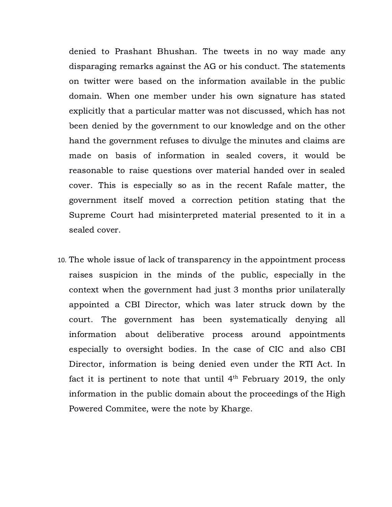denied to Prashant Bhushan. The tweets in no way made any disparaging remarks against the AG or his conduct. The statements on twitter were based on the information available in the public domain. When one member under his own signature has stated explicitly that a particular matter was not discussed, which has not been denied by the government to our knowledge and on the other hand the government refuses to divulge the minutes and claims are made on basis of information in sealed covers, it would be reasonable to raise questions over material handed over in sealed cover. This is especially so as in the recent Rafale matter, the government itself moved a correction petition stating that the Supreme Court had misinterpreted material presented to it in a sealed cover.

10. The whole issue of lack of transparency in the appointment process raises suspicion in the minds of the public, especially in the context when the government had just 3 months prior unilaterally appointed a CBI Director, which was later struck down by the court. The government has been systematically denying all information about deliberative process around appointments especially to oversight bodies. In the case of CIC and also CBI Director, information is being denied even under the RTI Act. In fact it is pertinent to note that until  $4<sup>th</sup>$  February 2019, the only information in the public domain about the proceedings of the High Powered Commitee, were the note by Kharge.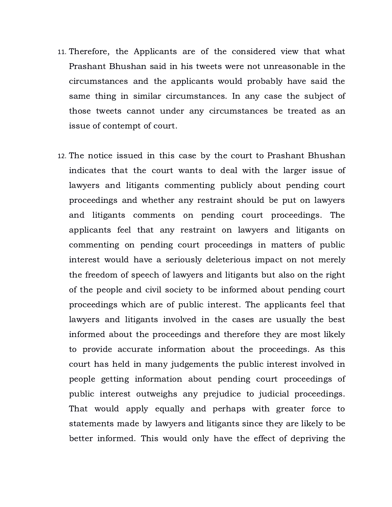- 11. Therefore, the Applicants are of the considered view that what Prashant Bhushan said in his tweets were not unreasonable in the circumstances and the applicants would probably have said the same thing in similar circumstances. In any case the subject of those tweets cannot under any circumstances be treated as an issue of contempt of court.
- 12. The notice issued in this case by the court to Prashant Bhushan indicates that the court wants to deal with the larger issue of lawyers and litigants commenting publicly about pending court proceedings and whether any restraint should be put on lawyers and litigants comments on pending court proceedings. The applicants feel that any restraint on lawyers and litigants on commenting on pending court proceedings in matters of public interest would have a seriously deleterious impact on not merely the freedom of speech of lawyers and litigants but also on the right of the people and civil society to be informed about pending court proceedings which are of public interest. The applicants feel that lawyers and litigants involved in the cases are usually the best informed about the proceedings and therefore they are most likely to provide accurate information about the proceedings. As this court has held in many judgements the public interest involved in people getting information about pending court proceedings of public interest outweighs any prejudice to judicial proceedings. That would apply equally and perhaps with greater force to statements made by lawyers and litigants since they are likely to be better informed. This would only have the effect of depriving the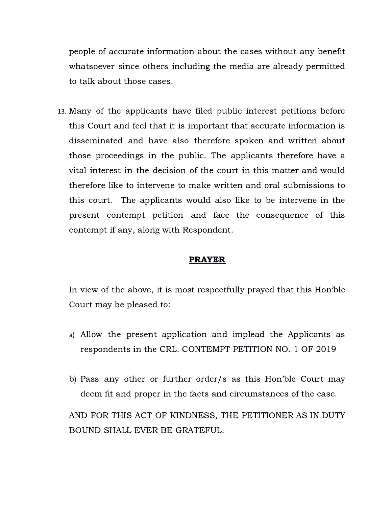people of accurate information about the cases without any benefit whatsoever since others including the media are already permitted to talk about those cases.

13. Many of the applicants have filed public interest petitions before this Court and feel that it is important that accurate information is disseminated and have also therefore spoken and written about those proceedings in the public. The applicants therefore have a vital interest in the decision of the court in this matter and would therefore like to intervene to make written and oral submissions to this court. The applicants would also like to be intervene in the present contempt petition and face the consequence of this contempt if any, along with Respondent.

#### PRAYER

In view of the above, it is most respectfully prayed that this Hon'ble Court may be pleased to:

- a) Allow the present application and implead the Applicants as respondents in the CRL. CONTEMPT PETITION NO. 1 OF 2019
- b) Pass any other or further order/s as this Hon'ble Court may deem fit and proper in the facts and circumstances of the case.

AND FOR THIS ACT OF KINDNESS, THE PETITIONER AS IN DUTY BOUND SHALL EVER BE GRATEFUL.